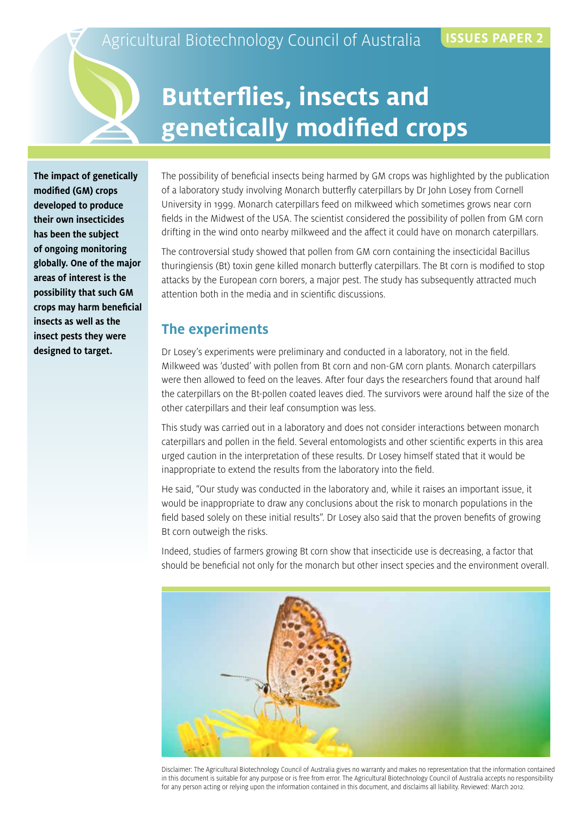# **Butterflies, insects and genetically modified crops**

**The impact of genetically modified (GM) crops developed to produce their own insecticides has been the subject of ongoing monitoring globally. One of the major areas of interest is the possibility that such GM crops may harm beneficial insects as well as the insect pests they were designed to target.**

The possibility of beneficial insects being harmed by GM crops was highlighted by the publication of a laboratory study involving Monarch butterfly caterpillars by Dr John Losey from Cornell University in 1999. Monarch caterpillars feed on milkweed which sometimes grows near corn fields in the Midwest of the USA. The scientist considered the possibility of pollen from GM corn drifting in the wind onto nearby milkweed and the affect it could have on monarch caterpillars.

The controversial study showed that pollen from GM corn containing the insecticidal Bacillus thuringiensis (Bt) toxin gene killed monarch butterfly caterpillars. The Bt corn is modified to stop attacks by the European corn borers, a major pest. The study has subsequently attracted much attention both in the media and in scientific discussions.

#### **The experiments**

Dr Losey's experiments were preliminary and conducted in a laboratory, not in the field. Milkweed was 'dusted' with pollen from Bt corn and non-GM corn plants. Monarch caterpillars were then allowed to feed on the leaves. After four days the researchers found that around half the caterpillars on the Bt-pollen coated leaves died. The survivors were around half the size of the other caterpillars and their leaf consumption was less.

This study was carried out in a laboratory and does not consider interactions between monarch caterpillars and pollen in the field. Several entomologists and other scientific experts in this area urged caution in the interpretation of these results. Dr Losey himself stated that it would be inappropriate to extend the results from the laboratory into the field.

He said, "Our study was conducted in the laboratory and, while it raises an important issue, it would be inappropriate to draw any conclusions about the risk to monarch populations in the field based solely on these initial results". Dr Losey also said that the proven benefits of growing Bt corn outweigh the risks.

Indeed, studies of farmers growing Bt corn show that insecticide use is decreasing, a factor that should be beneficial not only for the monarch but other insect species and the environment overall.



Disclaimer: The Agricultural Biotechnology Council of Australia gives no warranty and makes no representation that the information contained in this document is suitable for any purpose or is free from error. The Agricultural Biotechnology Council of Australia accepts no responsibility for any person acting or relying upon the information contained in this document, and disclaims all liability. Reviewed: March 2012.